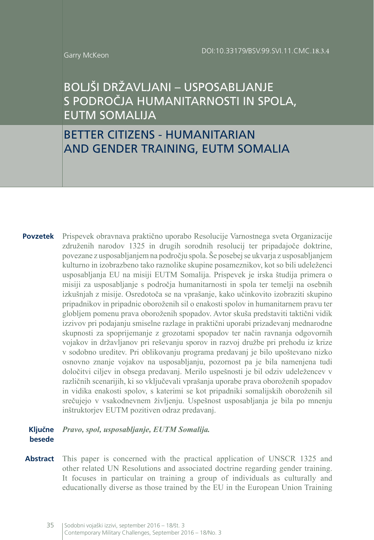#### Garry McKeon

# BOLJŠI DRŽAVLJANI – USPOSABLJANJE S PODROČJA HUMANITARNOSTI IN SPOLA, EUTM SOMALIJA

# BETTER CITIZENS - HUMANITARIAN AND GENDER TRAINING, EUTM SOMALIA

**Povzetek** Prispevek obravnava praktično uporabo Resolucije Varnostnega sveta Organizacije združenih narodov 1325 in drugih sorodnih resolucij ter pripadajoče doktrine, povezane z usposabljanjem na področju spola. Še posebej se ukvarja z usposabljanjem kulturno in izobrazbeno tako raznolike skupine posameznikov, kot so bili udeleženci usposabljanja EU na misiji EUTM Somalija. Prispevek je irska študija primera o misiji za usposabljanje s področja humanitarnosti in spola ter temelji na osebnih izkušnjah z misije. Osredotoča se na vprašanje, kako učinkovito izobraziti skupino pripadnikov in pripadnic oboroženih sil o enakosti spolov in humanitarnem pravu ter globljem pomenu prava oboroženih spopadov. Avtor skuša predstaviti taktični vidik izzivov pri podajanju smiselne razlage in praktični uporabi prizadevanj mednarodne skupnosti za spoprijemanje z grozotami spopadov ter način ravnanja odgovornih vojakov in državljanov pri reševanju sporov in razvoj družbe pri prehodu iz krize v sodobno ureditev. Pri oblikovanju programa predavanj je bilo upoštevano nizko osnovno znanje vojakov na usposabljanju, pozornost pa je bila namenjena tudi določitvi ciljev in obsega predavanj. Merilo uspešnosti je bil odziv udeležencev v različnih scenarijih, ki so vključevali vprašanja uporabe prava oboroženih spopadov in vidika enakosti spolov, s katerimi se kot pripadniki somalijskih oboroženih sil srečujejo v vsakodnevnem življenju. Uspešnost usposabljanja je bila po mnenju inštruktorjev EUTM pozitiven odraz predavanj.

#### **Ključne besede** *Pravo, spol, usposabljanje, EUTM Somalija.*

**Abstract** This paper is concerned with the practical application of UNSCR 1325 and other related UN Resolutions and associated doctrine regarding gender training. It focuses in particular on training a group of individuals as culturally and educationally diverse as those trained by the EU in the European Union Training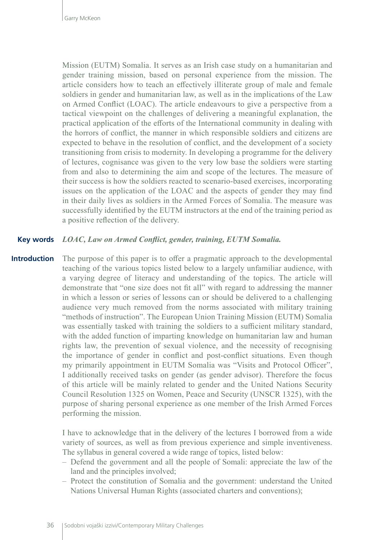Mission (EUTM) Somalia. It serves as an Irish case study on a humanitarian and gender training mission, based on personal experience from the mission. The article considers how to teach an effectively illiterate group of male and female soldiers in gender and humanitarian law, as well as in the implications of the Law on Armed Conflict (LOAC). The article endeavours to give a perspective from a tactical viewpoint on the challenges of delivering a meaningful explanation, the practical application of the efforts of the International community in dealing with the horrors of conflict, the manner in which responsible soldiers and citizens are expected to behave in the resolution of conflict, and the development of a society transitioning from crisis to modernity. In developing a programme for the delivery of lectures, cognisance was given to the very low base the soldiers were starting from and also to determining the aim and scope of the lectures. The measure of their success is how the soldiers reacted to scenario-based exercises, incorporating issues on the application of the LOAC and the aspects of gender they may find in their daily lives as soldiers in the Armed Forces of Somalia. The measure was successfully identified by the EUTM instructors at the end of the training period as a positive reflection of the delivery.

#### *LOAC, Law on Armed Conflict, gender, training, EUTM Somalia.* **Key words**

The purpose of this paper is to offer a pragmatic approach to the developmental teaching of the various topics listed below to a largely unfamiliar audience, with a varying degree of literacy and understanding of the topics. The article will demonstrate that "one size does not fit all" with regard to addressing the manner in which a lesson or series of lessons can or should be delivered to a challenging audience very much removed from the norms associated with military training "methods of instruction". The European Union Training Mission (EUTM) Somalia was essentially tasked with training the soldiers to a sufficient military standard, with the added function of imparting knowledge on humanitarian law and human rights law, the prevention of sexual violence, and the necessity of recognising the importance of gender in conflict and post-conflict situations. Even though my primarily appointment in EUTM Somalia was "Visits and Protocol Officer", I additionally received tasks on gender (as gender advisor). Therefore the focus of this article will be mainly related to gender and the United Nations Security Council Resolution 1325 on Women, Peace and Security (UNSCR 1325), with the purpose of sharing personal experience as one member of the Irish Armed Forces performing the mission. **Introduction**

> I have to acknowledge that in the delivery of the lectures I borrowed from a wide variety of sources, as well as from previous experience and simple inventiveness. The syllabus in general covered a wide range of topics, listed below:

- Defend the government and all the people of Somali: appreciate the law of the land and the principles involved;
- Protect the constitution of Somalia and the government: understand the United Nations Universal Human Rights (associated charters and conventions);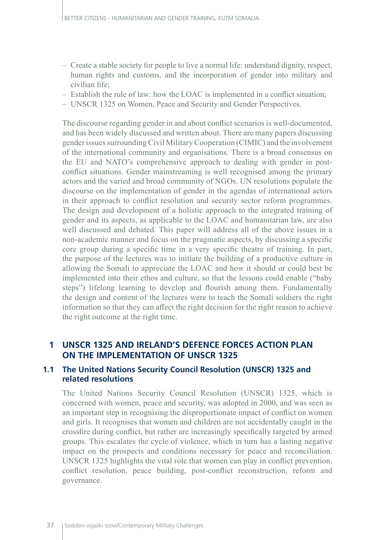- Create a stable society for people to live a normal life: understand dignity, respect, human rights and customs, and the incorporation of gender into military and civilian life;
- Establish the rule of law: how the LOAC is implemented in a conflict situation;
- UNSCR 1325 on Women, Peace and Security and Gender Perspectives.

The discourse regarding gender in and about conflict scenarios is well-documented, and has been widely discussed and written about. There are many papers discussing gender issues surrounding Civil Military Cooperation (CIMIC) and the involvement of the international community and organisations. There is a broad consensus on the EU and NATO's comprehensive approach to dealing with gender in postconflict situations. Gender mainstreaming is well recognised among the primary actors and the varied and broad community of NGOs. UN resolutions populate the discourse on the implementation of gender in the agendas of international actors in their approach to conflict resolution and security sector reform programmes. The design and development of a holistic approach to the integrated training of gender and its aspects, as applicable to the LOAC and humanitarian law, are also well discussed and debated. This paper will address all of the above issues in a non-academic manner and focus on the pragmatic aspects, by discussing a specific core group during a specific time in a very specific theatre of training. In part, the purpose of the lectures was to initiate the building of a productive culture in allowing the Somali to appreciate the LOAC and how it should or could best be implemented into their ethos and culture, so that the lessons could enable ("baby steps") lifelong learning to develop and flourish among them. Fundamentally the design and content of the lectures were to teach the Somali soldiers the right information so that they can affect the right decision for the right reason to achieve the right outcome at the right time.

# **1 UNSCR 1325 AND IRELAND'S DEFENCE FORCES ACTION PLAN ON THE IMPLEMENTATION OF UNSCR 1325**

## **1.1 The United Nations Security Council Resolution (UNSCR) 1325 and related resolutions**

The United Nations Security Council Resolution (UNSCR) 1325, which is concerned with women, peace and security, was adopted in 2000, and was seen as an important step in recognising the disproportionate impact of conflict on women and girls. It recognises that women and children are not accidentally caught in the crossfire during conflict, but rather are increasingly specifically targeted by armed groups. This escalates the cycle of violence, which in turn has a lasting negative impact on the prospects and conditions necessary for peace and reconciliation. UNSCR 1325 highlights the vital role that women can play in conflict prevention, conflict resolution, peace building, post-conflict reconstruction, reform and governance.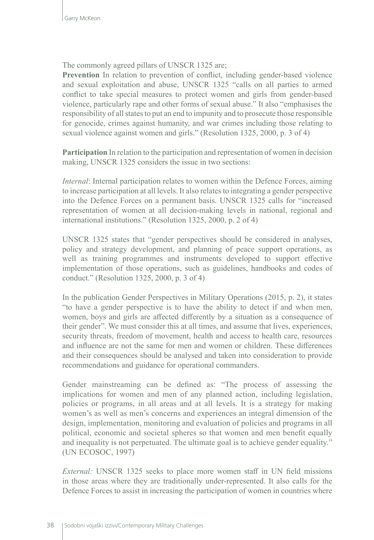### The commonly agreed pillars of UNSCR 1325 are;

**Prevention** In relation to prevention of conflict, including gender-based violence and sexual exploitation and abuse, UNSCR 1325 "calls on all parties to armed conflict to take special measures to protect women and girls from gender-based violence, particularly rape and other forms of sexual abuse." It also "emphasises the responsibility of all states to put an end to impunity and to prosecute those responsible for genocide, crimes against humanity, and war crimes including those relating to sexual violence against women and girls." (Resolution 1325, 2000, p. 3 of 4)

**Participation** In relation to the participation and representation of women in decision making, UNSCR 1325 considers the issue in two sections:

*Internal*: Internal participation relates to women within the Defence Forces, aiming to increase participation at all levels. It also relates to integrating a gender perspective into the Defence Forces on a permanent basis. UNSCR 1325 calls for "increased representation of women at all decision-making levels in national, regional and international institutions." (Resolution 1325, 2000, p. 2 of 4)

UNSCR 1325 states that "gender perspectives should be considered in analyses, policy and strategy development, and planning of peace support operations, as well as training programmes and instruments developed to support effective implementation of those operations, such as guidelines, handbooks and codes of conduct." (Resolution 1325, 2000, p. 3 of 4)

In the publication Gender Perspectives in Military Operations (2015, p. 2), it states "to have a gender perspective is to have the ability to detect if and when men, women, boys and girls are affected differently by a situation as a consequence of their gender". We must consider this at all times, and assume that lives, experiences, security threats, freedom of movement, health and access to health care, resources and influence are not the same for men and women or children. These differences and their consequences should be analysed and taken into consideration to provide recommendations and guidance for operational commanders.

Gender mainstreaming can be defined as: "The process of assessing the implications for women and men of any planned action, including legislation, policies or programs, in all areas and at all levels. It is a strategy for making women's as well as men's concerns and experiences an integral dimension of the design, implementation, monitoring and evaluation of policies and programs in all political, economic and societal spheres so that women and men benefit equally and inequality is not perpetuated. The ultimate goal is to achieve gender equality." (UN ECOSOC, 1997)

*External:* UNSCR 1325 seeks to place more women staff in UN field missions in those areas where they are traditionally under-represented. It also calls for the Defence Forces to assist in increasing the participation of women in countries where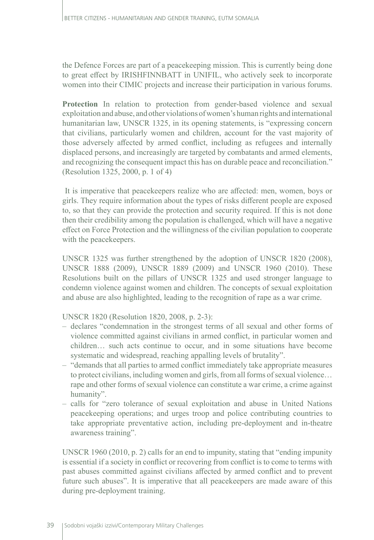the Defence Forces are part of a peacekeeping mission. This is currently being done to great effect by IRISHFINNBATT in UNIFIL, who actively seek to incorporate women into their CIMIC projects and increase their participation in various forums.

**Protection** In relation to protection from gender-based violence and sexual exploitation and abuse, and other violations of women's human rights and international humanitarian law, UNSCR 1325, in its opening statements, is "expressing concern that civilians, particularly women and children, account for the vast majority of those adversely affected by armed conflict, including as refugees and internally displaced persons, and increasingly are targeted by combatants and armed elements, and recognizing the consequent impact this has on durable peace and reconciliation." (Resolution 1325, 2000, p. 1 of 4)

 It is imperative that peacekeepers realize who are affected: men, women, boys or girls. They require information about the types of risks different people are exposed to, so that they can provide the protection and security required. If this is not done then their credibility among the population is challenged, which will have a negative effect on Force Protection and the willingness of the civilian population to cooperate with the peacekeepers.

UNSCR 1325 was further strengthened by the adoption of UNSCR 1820 (2008), UNSCR 1888 (2009), UNSCR 1889 (2009) and UNSCR 1960 (2010). These Resolutions built on the pillars of UNSCR 1325 and used stronger language to condemn violence against women and children. The concepts of sexual exploitation and abuse are also highlighted, leading to the recognition of rape as a war crime.

UNSCR 1820 (Resolution 1820, 2008, p. 2-3):

- declares "condemnation in the strongest terms of all sexual and other forms of violence committed against civilians in armed conflict, in particular women and children… such acts continue to occur, and in some situations have become systematic and widespread, reaching appalling levels of brutality".
- "demands that all parties to armed conflict immediately take appropriate measures to protect civilians, including women and girls, from all forms of sexual violence… rape and other forms of sexual violence can constitute a war crime, a crime against humanity".
- calls for "zero tolerance of sexual exploitation and abuse in United Nations peacekeeping operations; and urges troop and police contributing countries to take appropriate preventative action, including pre-deployment and in-theatre awareness training".

UNSCR 1960 (2010, p. 2) calls for an end to impunity, stating that "ending impunity is essential if a society in conflict or recovering from conflict is to come to terms with past abuses committed against civilians affected by armed conflict and to prevent future such abuses". It is imperative that all peacekeepers are made aware of this during pre-deployment training.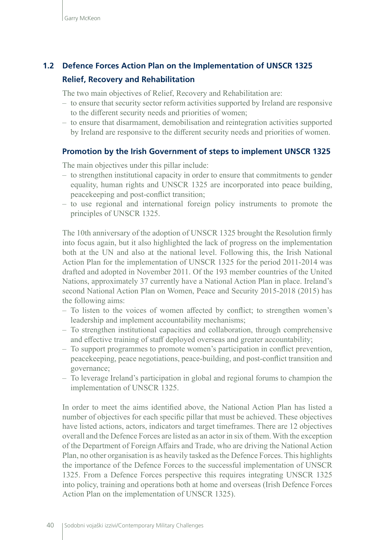# **1.2 Defence Forces Action Plan on the Implementation of UNSCR 1325 Relief, Recovery and Rehabilitation**

The two main objectives of Relief, Recovery and Rehabilitation are:

- to ensure that security sector reform activities supported by Ireland are responsive to the different security needs and priorities of women;
- to ensure that disarmament, demobilisation and reintegration activities supported by Ireland are responsive to the different security needs and priorities of women.

#### **Promotion by the Irish Government of steps to implement UNSCR 1325**

The main objectives under this pillar include:

- to strengthen institutional capacity in order to ensure that commitments to gender equality, human rights and UNSCR 1325 are incorporated into peace building, peacekeeping and post-conflict transition;
- to use regional and international foreign policy instruments to promote the principles of UNSCR 1325.

The 10th anniversary of the adoption of UNSCR 1325 brought the Resolution firmly into focus again, but it also highlighted the lack of progress on the implementation both at the UN and also at the national level. Following this, the Irish National Action Plan for the implementation of UNSCR 1325 for the period 2011-2014 was drafted and adopted in November 2011. Of the 193 member countries of the United Nations, approximately 37 currently have a National Action Plan in place. Ireland's second National Action Plan on Women, Peace and Security 2015-2018 (2015) has the following aims:

- To listen to the voices of women affected by conflict; to strengthen women's leadership and implement accountability mechanisms;
- To strengthen institutional capacities and collaboration, through comprehensive and effective training of staff deployed overseas and greater accountability;
- To support programmes to promote women's participation in conflict prevention, peacekeeping, peace negotiations, peace-building, and post-conflict transition and governance;
- To leverage Ireland's participation in global and regional forums to champion the implementation of UNSCR 1325.

In order to meet the aims identified above, the National Action Plan has listed a number of objectives for each specific pillar that must be achieved. These objectives have listed actions, actors, indicators and target timeframes. There are 12 objectives overall and the Defence Forces are listed as an actor in six of them. With the exception of the Department of Foreign Affairs and Trade, who are driving the National Action Plan, no other organisation is as heavily tasked as the Defence Forces. This highlights the importance of the Defence Forces to the successful implementation of UNSCR 1325. From a Defence Forces perspective this requires integrating UNSCR 1325 into policy, training and operations both at home and overseas (Irish Defence Forces Action Plan on the implementation of UNSCR 1325).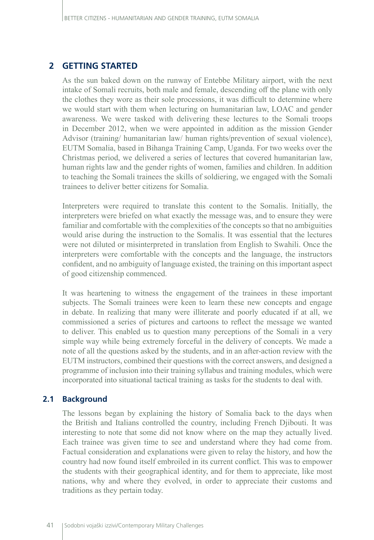## **2 GETTING STARTED**

As the sun baked down on the runway of Entebbe Military airport, with the next intake of Somali recruits, both male and female, descending off the plane with only the clothes they wore as their sole processions, it was difficult to determine where we would start with them when lecturing on humanitarian law, LOAC and gender awareness. We were tasked with delivering these lectures to the Somali troops in December 2012, when we were appointed in addition as the mission Gender Advisor (training/ humanitarian law/ human rights/prevention of sexual violence), EUTM Somalia, based in Bihanga Training Camp, Uganda. For two weeks over the Christmas period, we delivered a series of lectures that covered humanitarian law, human rights law and the gender rights of women, families and children. In addition to teaching the Somali trainees the skills of soldiering, we engaged with the Somali trainees to deliver better citizens for Somalia.

Interpreters were required to translate this content to the Somalis. Initially, the interpreters were briefed on what exactly the message was, and to ensure they were familiar and comfortable with the complexities of the concepts so that no ambiguities would arise during the instruction to the Somalis. It was essential that the lectures were not diluted or misinterpreted in translation from English to Swahili. Once the interpreters were comfortable with the concepts and the language, the instructors confident, and no ambiguity of language existed, the training on this important aspect of good citizenship commenced.

It was heartening to witness the engagement of the trainees in these important subjects. The Somali trainees were keen to learn these new concepts and engage in debate. In realizing that many were illiterate and poorly educated if at all, we commissioned a series of pictures and cartoons to reflect the message we wanted to deliver. This enabled us to question many perceptions of the Somali in a very simple way while being extremely forceful in the delivery of concepts. We made a note of all the questions asked by the students, and in an after-action review with the EUTM instructors, combined their questions with the correct answers, and designed a programme of inclusion into their training syllabus and training modules, which were incorporated into situational tactical training as tasks for the students to deal with.

## **2.1 Background**

The lessons began by explaining the history of Somalia back to the days when the British and Italians controlled the country, including French Djibouti. It was interesting to note that some did not know where on the map they actually lived. Each trainee was given time to see and understand where they had come from. Factual consideration and explanations were given to relay the history, and how the country had now found itself embroiled in its current conflict. This was to empower the students with their geographical identity, and for them to appreciate, like most nations, why and where they evolved, in order to appreciate their customs and traditions as they pertain today.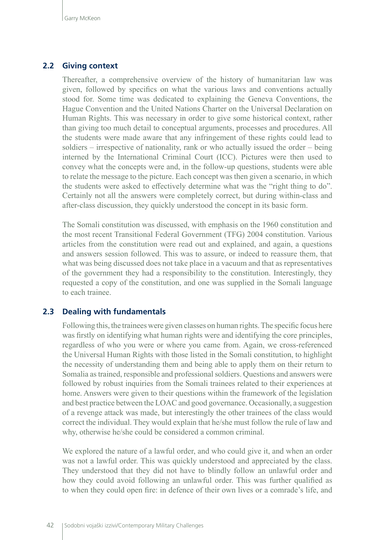### **2.2 Giving context**

Thereafter, a comprehensive overview of the history of humanitarian law was given, followed by specifics on what the various laws and conventions actually stood for. Some time was dedicated to explaining the Geneva Conventions, the Hague Convention and the United Nations Charter on the Universal Declaration on Human Rights. This was necessary in order to give some historical context, rather than giving too much detail to conceptual arguments, processes and procedures. All the students were made aware that any infringement of these rights could lead to soldiers – irrespective of nationality, rank or who actually issued the order – being interned by the International Criminal Court (ICC). Pictures were then used to convey what the concepts were and, in the follow-up questions, students were able to relate the message to the picture. Each concept was then given a scenario, in which the students were asked to effectively determine what was the "right thing to do". Certainly not all the answers were completely correct, but during within-class and after-class discussion, they quickly understood the concept in its basic form.

The Somali constitution was discussed, with emphasis on the 1960 constitution and the most recent Transitional Federal Government (TFG) 2004 constitution. Various articles from the constitution were read out and explained, and again, a questions and answers session followed. This was to assure, or indeed to reassure them, that what was being discussed does not take place in a vacuum and that as representatives of the government they had a responsibility to the constitution. Interestingly, they requested a copy of the constitution, and one was supplied in the Somali language to each trainee.

### **2.3 Dealing with fundamentals**

Following this, the trainees were given classes on human rights. The specific focus here was firstly on identifying what human rights were and identifying the core principles, regardless of who you were or where you came from. Again, we cross-referenced the Universal Human Rights with those listed in the Somali constitution, to highlight the necessity of understanding them and being able to apply them on their return to Somalia as trained, responsible and professional soldiers. Questions and answers were followed by robust inquiries from the Somali trainees related to their experiences at home. Answers were given to their questions within the framework of the legislation and best practice between the LOAC and good governance. Occasionally, a suggestion of a revenge attack was made, but interestingly the other trainees of the class would correct the individual. They would explain that he/she must follow the rule of law and why, otherwise he/she could be considered a common criminal.

We explored the nature of a lawful order, and who could give it, and when an order was not a lawful order. This was quickly understood and appreciated by the class. They understood that they did not have to blindly follow an unlawful order and how they could avoid following an unlawful order. This was further qualified as to when they could open fire: in defence of their own lives or a comrade's life, and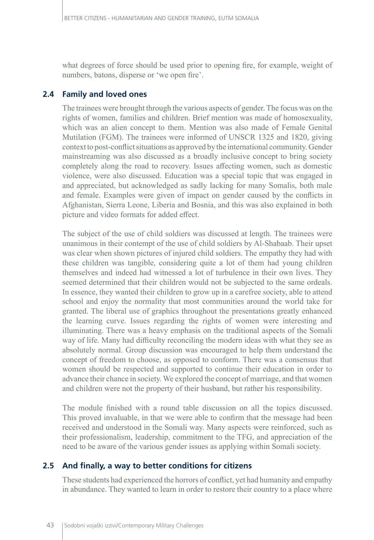what degrees of force should be used prior to opening fire, for example, weight of numbers, batons, disperse or 'we open fire'.

# **2.4 Family and loved ones**

The trainees were brought through the various aspects of gender. The focus was on the rights of women, families and children. Brief mention was made of homosexuality, which was an alien concept to them. Mention was also made of Female Genital Mutilation (FGM). The trainees were informed of UNSCR 1325 and 1820, giving context to post-conflict situations as approved by the international community. Gender mainstreaming was also discussed as a broadly inclusive concept to bring society completely along the road to recovery. Issues affecting women, such as domestic violence, were also discussed. Education was a special topic that was engaged in and appreciated, but acknowledged as sadly lacking for many Somalis, both male and female. Examples were given of impact on gender caused by the conflicts in Afghanistan, Sierra Leone, Liberia and Bosnia, and this was also explained in both picture and video formats for added effect.

The subject of the use of child soldiers was discussed at length. The trainees were unanimous in their contempt of the use of child soldiers by Al-Shabaab. Their upset was clear when shown pictures of injured child soldiers. The empathy they had with these children was tangible, considering quite a lot of them had young children themselves and indeed had witnessed a lot of turbulence in their own lives. They seemed determined that their children would not be subjected to the same ordeals. In essence, they wanted their children to grow up in a carefree society, able to attend school and enjoy the normality that most communities around the world take for granted. The liberal use of graphics throughout the presentations greatly enhanced the learning curve. Issues regarding the rights of women were interesting and illuminating. There was a heavy emphasis on the traditional aspects of the Somali way of life. Many had difficulty reconciling the modern ideas with what they see as absolutely normal. Group discussion was encouraged to help them understand the concept of freedom to choose, as opposed to conform. There was a consensus that women should be respected and supported to continue their education in order to advance their chance in society. We explored the concept of marriage, and that women and children were not the property of their husband, but rather his responsibility.

The module finished with a round table discussion on all the topics discussed. This proved invaluable, in that we were able to confirm that the message had been received and understood in the Somali way. Many aspects were reinforced, such as their professionalism, leadership, commitment to the TFG, and appreciation of the need to be aware of the various gender issues as applying within Somali society.

# **2.5 And finally, a way to better conditions for citizens**

These students had experienced the horrors of conflict, yet had humanity and empathy in abundance. They wanted to learn in order to restore their country to a place where